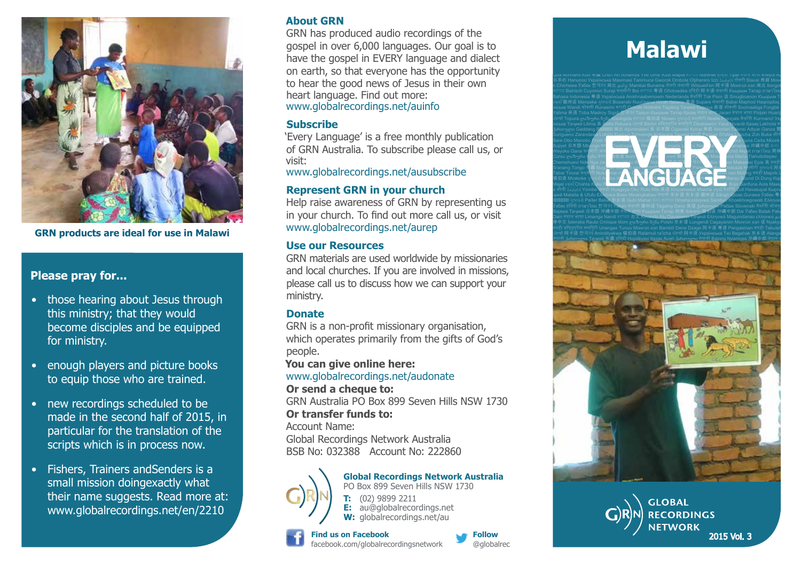

**GRN products are ideal for use in Malawi**

#### **Please pray for...**

- those hearing about Jesus through this ministry; that they would become disciples and be equipped for ministry.
- enough players and picture books to equip those who are trained.
- new recordings scheduled to be made in the second half of 2015, in particular for the translation of the scripts which is in process now.
- Fishers, Trainers andSenders is a small mission doingexactly what their name suggests. Read more at: www.globalrecordings.net/en/2210

#### **About GRN**

GRN has produced audio recordings of the gospel in over 6,000 languages. Our goal is to have the gospel in EVERY language and dialect on earth, so that everyone has the opportunity to hear the good news of Jesus in their own heart language. Find out more: www.globalrecordings.net/auinfo

#### **Subscribe**

'Every Language' is a free monthly publication of GRN Australia. To subscribe please call us, or visit:

www.globalrecordings.net/ausubscribe

### **Represent GRN in your church**

Help raise awareness of GRN by representing us in your church. To find out more call us, or visit www.globalrecordings.net/aurep

#### **Use our Resources**

GRN materials are used worldwide by missionaries and local churches. If you are involved in missions, please call us to discuss how we can support your ministry.

#### **Donate**

GRN is a non-profit missionary organisation, which operates primarily from the gifts of God's people.

**You can give online here:** 

#### www.globalrecordings.net/audonate

**Or send a cheque to:** 

GRN Australia PO Box 899 Seven Hills NSW 1730 **Or transfer funds to:**

Account Name:

Global Recordings Network Australia BSB No: 032388 Account No: 222860



**Global Recordings Network Australia** PO Box 899 Seven Hills NSW 1730 **T:** (02) 9899 2211 **E:** au@globalrecordings.net W: globalrecordings.net/au

#### **Find us on Facebook** facebook.com/globalrecordingsnetwork



## **Malawi**

Català ಕನ್ನಡ 吴语 Nkim Pileni ελληνικα 阿卡语 Kipopoi Dimmuk Mianmin Samal Jarawara ლაზური ნენა Português Qua Achhami Koo क⊯ Cha't An Ilchamus Yoti Uma' Kulit Mapia कുலனை Ndrenet होन्दो Tipai नेपाल भाषा Kreyòl Ayis 日本の Hanunoo Українська Masimasi Tanimuca Gworok Ombole Otjiherero Izzi Հայերէն डागरा Siausi 角苗 Монг л Chichewa Узбек 한국어 闽北 தமிழ் Mambai Bunama डांगरी संथाली Witsuwit'en 阿卡语 Монгол хэл 闽北 Ilongot ಕನ್ನಡ Bairisch Cuyonon Suraji कश्मारा Boi ಕನ್ನಡ 粤语 Onotowaka होन्दी 阿卡语 संथाला Къырым Татар ภาษาไทย Bahasa Indonesia 특语 Українська Anishnaabemowin Nederlands मैथोली Tok Pisin 诘 Sinugboanon Къырым Та કચ્ચ 徽州话 Mansaka ગુજરાતી Bosanski Nu<u>uč</u>aan<del>ul Wirah Italiano 粤语</del> Supare संथाली Babai Maphod Haqniqdoq । їнська Wandi कोंकणी Runasimi मराठी Colville Ndébélé Tagálog Таҷикй Кыргыз 吴语 कोंकणी Soomaaliga Fɔngbè Yalima 吴语 Toba Maskoy Sigidi 한국어 Taisun Къырым Татар Қазақ नेपाल भाषा Jacari नेपाल भाषा Poljski Huarijio ਪੰਜਾਬੀ Topura ლაზური ნენა Kisongola ಕನ್ನಡ 锡伯语 Nkwen ગુજરાતી कश्मीरी Nselle Français मैथोली Kurmancî Укр



ҷикй Mataita & Ufufu Ελληνικά Baso Minangkabau नेपाली 东乡语 东乡语 徽州话 Sängö Қазақ Gurawa Узбек 粤। ગુજરાતી Paíter Balue 东乡语 Gubi Mahar ತುಳು ಕನ್ನಡ Omaha ελληνικα Sambyo Khoekhoegowab Ελληνικά Ўзбек हिनदी ภาษาไทย 한국어 Yakan संथाली 徽州话 Tagalog Dano 吴语 ქართული Pattae Slovenski मैथिली भोजपुरी Bajawa Таҷикй 日本語 沖縄中部 नेपाल भाषा Къырым Татар 阿美 Ilokano 錫伯语 沖縄中部 Dai Узбек Batak Paki Dairi नेपाल भाषा Limanga Nandi ಕನ್ನಡ 台文 K<del>inonda Alu Davaweno Та</del>ҷикй Ελληνικά Maguindanao ελληνικα தமி 体中文 Islenska Rauto Cmiique Iitom ლაზური ნენა Polski 东乡语 Lungendi Cagayanon Монгол хэл 话 Nyakyu मगही बाष्नुप्रीय मणापुरी Unangax Tunuu Moнroл хэл Bambili Dene Dzage 阿卡语 粤语 Pangasinan मगही Tabulah ਪਜਾਬੀ 阿卡语 한국어 Anindilyakwa 锡伯语 Ralámuli ra'ícha ਪੰਜਾਬੀ 阿卡语 Українська Twi Begahak 东乡语 Alanga नेपाली 1ართული Тачикй 布農 हर्निदी Hopilàvavi Казак Aceh 1ართული नेपाली Balong Nyamosa 沖縄中部 नेपाल भ



**GLOBAL RECORDINGS NETWORK** 2015 Vol. 3